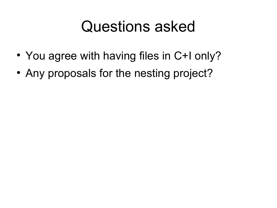## Questions asked

- You agree with having files in C+I only?
- Any proposals for the nesting project?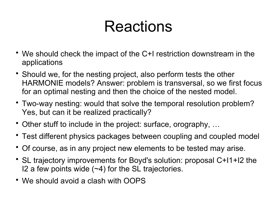## Reactions

- We should check the impact of the C+I restriction downstream in the applications
- Should we, for the nesting project, also perform tests the other HARMONIE models? Answer: problem is transversal, so we first focus for an optimal nesting and then the choice of the nested model.
- Two-way nesting: would that solve the temporal resolution problem? Yes, but can it be realized practically?
- Other stuff to include in the project: surface, orography, …
- Test different physics packages between coupling and coupled model
- Of course, as in any project new elements to be tested may arise.
- SL trajectory improvements for Boyd's solution: proposal C+I1+I2 the I2 a few points wide  $(-4)$  for the SL trajectories.
- We should avoid a clash with OOPS